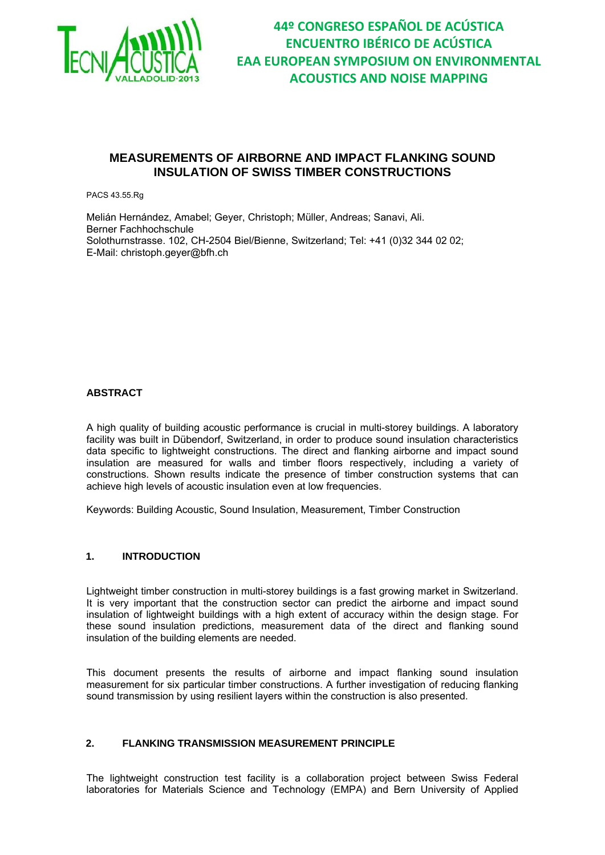

### **MEASUREMENTS OF AIRBORNE AND IMPACT FLANKING SOUND INSULATION OF SWISS TIMBER CONSTRUCTIONS**

PACS 43.55.Rg

Melián Hernández, Amabel; Geyer, Christoph; Müller, Andreas; Sanavi, Ali. Berner Fachhochschule Solothurnstrasse. 102, CH-2504 Biel/Bienne, Switzerland; Tel: +41 (0)32 344 02 02; E-Mail: christoph.geyer@bfh.ch

#### **ABSTRACT**

A high quality of building acoustic performance is crucial in multi-storey buildings. A laboratory facility was built in Dübendorf, Switzerland, in order to produce sound insulation characteristics data specific to lightweight constructions. The direct and flanking airborne and impact sound insulation are measured for walls and timber floors respectively, including a variety of constructions. Shown results indicate the presence of timber construction systems that can achieve high levels of acoustic insulation even at low frequencies.

Keywords: Building Acoustic, Sound Insulation, Measurement, Timber Construction

#### **1. INTRODUCTION**

Lightweight timber construction in multi-storey buildings is a fast growing market in Switzerland. It is very important that the construction sector can predict the airborne and impact sound insulation of lightweight buildings with a high extent of accuracy within the design stage. For these sound insulation predictions, measurement data of the direct and flanking sound insulation of the building elements are needed.

This document presents the results of airborne and impact flanking sound insulation measurement for six particular timber constructions. A further investigation of reducing flanking sound transmission by using resilient layers within the construction is also presented.

### **2. FLANKING TRANSMISSION MEASUREMENT PRINCIPLE**

The lightweight construction test facility is a collaboration project between Swiss Federal laboratories for Materials Science and Technology (EMPA) and Bern University of Applied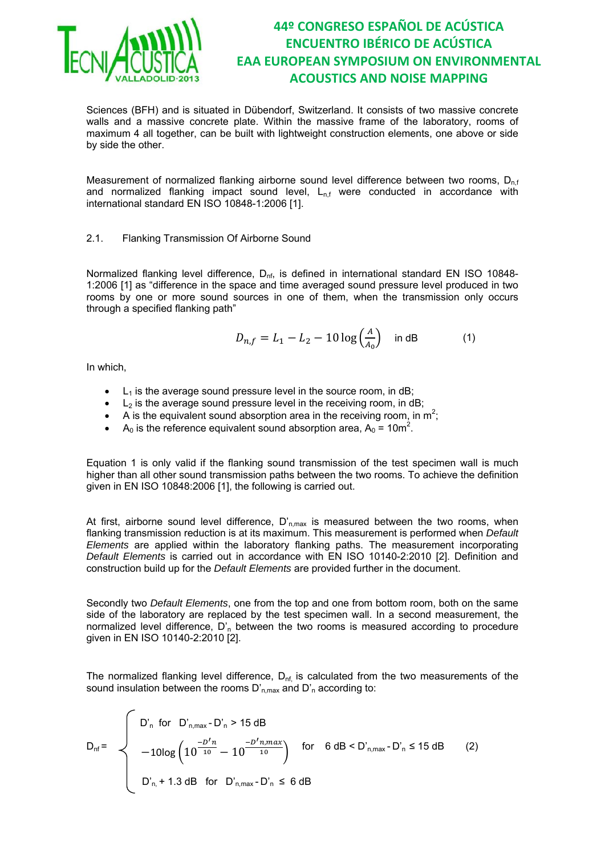

Sciences (BFH) and is situated in Dübendorf, Switzerland. It consists of two massive concrete walls and a massive concrete plate. Within the massive frame of the laboratory, rooms of maximum 4 all together, can be built with lightweight construction elements, one above or side by side the other.

Measurement of normalized flanking airborne sound level difference between two rooms,  $D_{n,f}$ and normalized flanking impact sound level,  $L_{n,f}$  were conducted in accordance with international standard EN ISO 10848-1:2006 [1].

### 2.1. Flanking Transmission Of Airborne Sound

Normalized flanking level difference, D<sub>nf</sub>, is defined in international standard EN ISO 10848-1:2006 [1] as "difference in the space and time averaged sound pressure level produced in two rooms by one or more sound sources in one of them, when the transmission only occurs through a specified flanking path"

$$
D_{n,f} = L_1 - L_2 - 10 \log \left( \frac{A}{A_0} \right) \text{ in dB} \tag{1}
$$

In which,

- $\bullet$  L<sub>1</sub> is the average sound pressure level in the source room, in dB;
- $\bullet$  L<sub>2</sub> is the average sound pressure level in the receiving room, in dB;
- A is the equivalent sound absorption area in the receiving room, in  $m^2$ ;
- A<sub>0</sub> is the reference equivalent sound absorption area,  $A_0 = 10m^2$ .

Equation 1 is only valid if the flanking sound transmission of the test specimen wall is much higher than all other sound transmission paths between the two rooms. To achieve the definition given in EN ISO 10848:2006 [1], the following is carried out.

At first, airborne sound level difference,  $D'_{n,max}$  is measured between the two rooms, when flanking transmission reduction is at its maximum. This measurement is performed when *Default Elements* are applied within the laboratory flanking paths. The measurement incorporating *Default Elements* is carried out in accordance with EN ISO 10140-2:2010 [2]. Definition and construction build up for the *Default Elements* are provided further in the document.

Secondly two *Default Elements*, one from the top and one from bottom room, both on the same side of the laboratory are replaced by the test specimen wall. In a second measurement, the normalized level difference,  $D'_n$  between the two rooms is measured according to procedure given in EN ISO 10140-2:2010 [2].

The normalized flanking level difference,  $D_{\text{nf}}$  is calculated from the two measurements of the sound insulation between the rooms  $D'_{n,max}$  and  $D'_{n}$  according to:

$$
D_{nf} = \begin{cases} D'_{n} \text{ for } D'_{n,max} - D'_{n} > 15 \text{ dB} \\ -10\log\left(10^{\frac{-D'n}{10}} - 10^{\frac{-D'n,max}{10}}\right) & \text{for } 6 \text{ dB} < D'_{n,max} - D'_{n} \le 15 \text{ dB} \\ \\ D'_{n} + 1.3 \text{ dB} & \text{for } D'_{n,max} - D'_{n} \le 6 \text{ dB} \end{cases} \tag{2}
$$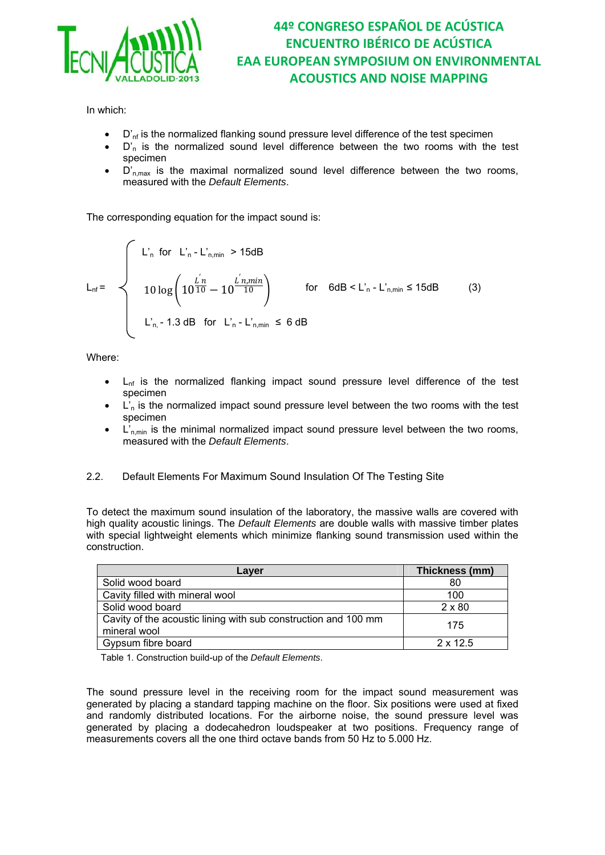

In which:

- $\bullet$   $\Box'_{\rm nf}$  is the normalized flanking sound pressure level difference of the test specimen
- $D'_n$  is the normalized sound level difference between the two rooms with the test specimen
- $D'_{n,max}$  is the maximal normalized sound level difference between the two rooms, measured with the *Default Elements*.

The corresponding equation for the impact sound is:

$$
L_{nf} = \begin{cases} L'_{n} \text{ for } L'_{n} - L'_{n,min} > 15dB \\ 10 \log \left( 10^{\frac{L'}{10}} - 10^{\frac{L'}{10}} \right) & \text{for } 6dB < L'_{n} - L'_{n,min} \le 15dB \\ L'_{n} - 1.3 dB \text{ for } L'_{n} - L'_{n,min} \le 6 dB \end{cases}
$$
(3)

Where:

- $L_{\text{nf}}$  is the normalized flanking impact sound pressure level difference of the test specimen
- $L_n$  is the normalized impact sound pressure level between the two rooms with the test specimen
- $L_{n,min}$  is the minimal normalized impact sound pressure level between the two rooms, measured with the *Default Elements*.
- 2.2. Default Elements For Maximum Sound Insulation Of The Testing Site

To detect the maximum sound insulation of the laboratory, the massive walls are covered with high quality acoustic linings. The *Default Elements* are double walls with massive timber plates with special lightweight elements which minimize flanking sound transmission used within the construction.

| Laver                                                                          | Thickness (mm)  |
|--------------------------------------------------------------------------------|-----------------|
| Solid wood board                                                               | 80              |
| Cavity filled with mineral wool                                                | 100             |
| Solid wood board                                                               | $2 \times 80$   |
| Cavity of the acoustic lining with sub construction and 100 mm<br>mineral wool | 175             |
| Gypsum fibre board                                                             | $2 \times 12.5$ |

Table 1. Construction build-up of the *Default Elements*.

The sound pressure level in the receiving room for the impact sound measurement was generated by placing a standard tapping machine on the floor. Six positions were used at fixed and randomly distributed locations. For the airborne noise, the sound pressure level was generated by placing a dodecahedron loudspeaker at two positions. Frequency range of measurements covers all the one third octave bands from 50 Hz to 5.000 Hz.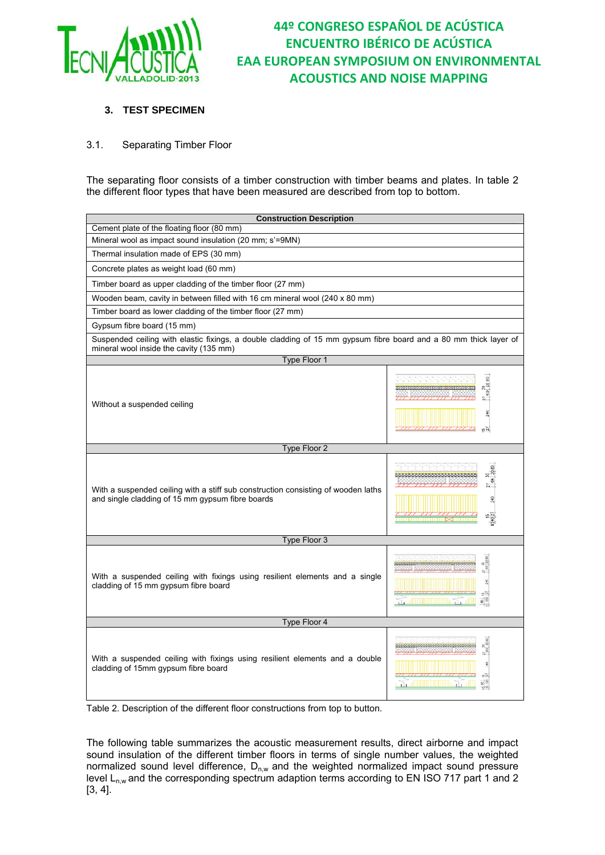

### **3. TEST SPECIMEN**

### 3.1. Separating Timber Floor

The separating floor consists of a timber construction with timber beams and plates. In table 2 the different floor types that have been measured are described from top to bottom.

| <b>Construction Description</b>                                                                                                                             |                                                         |  |  |
|-------------------------------------------------------------------------------------------------------------------------------------------------------------|---------------------------------------------------------|--|--|
| Cement plate of the floating floor (80 mm)                                                                                                                  |                                                         |  |  |
| Mineral wool as impact sound insulation (20 mm; s'=9MN)                                                                                                     |                                                         |  |  |
| Thermal insulation made of EPS (30 mm)                                                                                                                      |                                                         |  |  |
| Concrete plates as weight load (60 mm)                                                                                                                      |                                                         |  |  |
| Timber board as upper cladding of the timber floor (27 mm)                                                                                                  |                                                         |  |  |
| Wooden beam, cavity in between filled with 16 cm mineral wool (240 x 80 mm)                                                                                 |                                                         |  |  |
| Timber board as lower cladding of the timber floor (27 mm)                                                                                                  |                                                         |  |  |
| Gypsum fibre board (15 mm)                                                                                                                                  |                                                         |  |  |
| Suspended ceiling with elastic fixings, a double cladding of 15 mm gypsum fibre board and a 80 mm thick layer of<br>mineral wool inside the cavity (135 mm) |                                                         |  |  |
| Type Floor 1                                                                                                                                                |                                                         |  |  |
| Without a suspended ceiling                                                                                                                                 | 8<br>្តុឌ<br>$\frac{1}{9}$<br>$\frac{5}{2}$<br>$n -$    |  |  |
| Type Floor 2                                                                                                                                                |                                                         |  |  |
| With a suspended ceiling with a stiff sub construction consisting of wooden laths<br>and single cladding of 15 mm gypsum fibre boards                       | g<br>$8\frac{3}{20}$<br>$\frac{27}{164}$<br>240         |  |  |
| Type Floor 3                                                                                                                                                |                                                         |  |  |
| With a suspended ceiling with fixings using resilient elements and a single<br>cladding of 15 mm gypsum fibre board                                         | ainm na matala 23.<br>8 <sub>5</sub>                    |  |  |
| Type Floor 4                                                                                                                                                |                                                         |  |  |
| With a suspended ceiling with fixings using resilient elements and a double<br>cladding of 15mm gypsum fibre board                                          | is.<br>$\frac{8}{18}$<br><u>a a dhiinimiinii aa aff</u> |  |  |

Table 2. Description of the different floor constructions from top to button.

The following table summarizes the acoustic measurement results, direct airborne and impact sound insulation of the different timber floors in terms of single number values, the weighted normalized sound level difference,  $D_{n,w}$  and the weighted normalized impact sound pressure level  $L_{n,w}$  and the corresponding spectrum adaption terms according to EN ISO 717 part 1 and 2 [3, 4].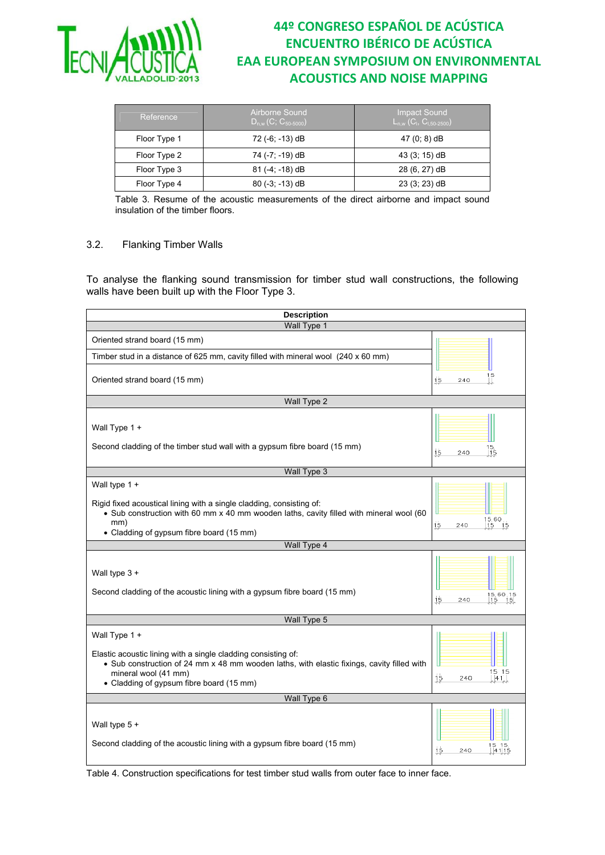

| Airborne Sound<br>$D_{n,w}(C; C_{50-5000})$ | <b>Impact Sound</b><br>$L_{n,w}$ (C <sub>1</sub> , C <sub>1,50-2500</sub> ) |  |
|---------------------------------------------|-----------------------------------------------------------------------------|--|
| 72 (-6; -13) dB                             | 47 (0; 8) dB                                                                |  |
| 74 (-7; -19) dB                             | 43 (3; 15) dB                                                               |  |
| $81 (-4; -18) dB$                           | 28 (6, 27) dB                                                               |  |
| $80(-3; -13)$ dB                            | $23(3; 23)$ dB                                                              |  |
|                                             |                                                                             |  |

Table 3. Resume of the acoustic measurements of the direct airborne and impact sound insulation of the timber floors.

#### 3.2. Flanking Timber Walls

To analyse the flanking sound transmission for timber stud wall constructions, the following walls have been built up with the Floor Type 3.

| <b>Description</b>                                                                                                                                                                                                                               |                                                       |  |  |
|--------------------------------------------------------------------------------------------------------------------------------------------------------------------------------------------------------------------------------------------------|-------------------------------------------------------|--|--|
| Wall Type 1                                                                                                                                                                                                                                      |                                                       |  |  |
| Oriented strand board (15 mm)                                                                                                                                                                                                                    |                                                       |  |  |
| Timber stud in a distance of 625 mm, cavity filled with mineral wool (240 x 60 mm)                                                                                                                                                               |                                                       |  |  |
| Oriented strand board (15 mm)                                                                                                                                                                                                                    | 1.5<br>15<br>240                                      |  |  |
| Wall Type 2                                                                                                                                                                                                                                      |                                                       |  |  |
| Wall Type 1 +<br>Second cladding of the timber stud wall with a gypsum fibre board (15 mm)                                                                                                                                                       | $\begin{bmatrix} 15 \\ 15 \end{bmatrix}$<br>240<br>15 |  |  |
| Wall Type 3                                                                                                                                                                                                                                      |                                                       |  |  |
| Wall type 1 +<br>Rigid fixed acoustical lining with a single cladding, consisting of:<br>. Sub construction with 60 mm x 40 mm wooden laths, cavity filled with mineral wool (60<br>mm)<br>• Cladding of gypsum fibre board (15 mm)              | $\frac{15}{15}$ 60<br>$\frac{15}{15}$<br>15<br>240    |  |  |
| Wall Type 4                                                                                                                                                                                                                                      |                                                       |  |  |
| Wall type 3 +<br>Second cladding of the acoustic lining with a gypsum fibre board (15 mm)                                                                                                                                                        | 15,60,15<br> 15       15 <br>15<br>240                |  |  |
| Wall Type 5                                                                                                                                                                                                                                      |                                                       |  |  |
| Wall Type 1 +<br>Elastic acoustic lining with a single cladding consisting of:<br>• Sub construction of 24 mm x 48 mm wooden laths, with elastic fixings, cavity filled with<br>mineral wool (41 mm)<br>• Cladding of gypsum fibre board (15 mm) | 15 15<br>15<br>240<br> 41                             |  |  |
| Wall Type 6                                                                                                                                                                                                                                      |                                                       |  |  |
| Wall type 5 +<br>Second cladding of the acoustic lining with a gypsum fibre board (15 mm)                                                                                                                                                        | 240<br>15<br>4115                                     |  |  |

Table 4. Construction specifications for test timber stud walls from outer face to inner face.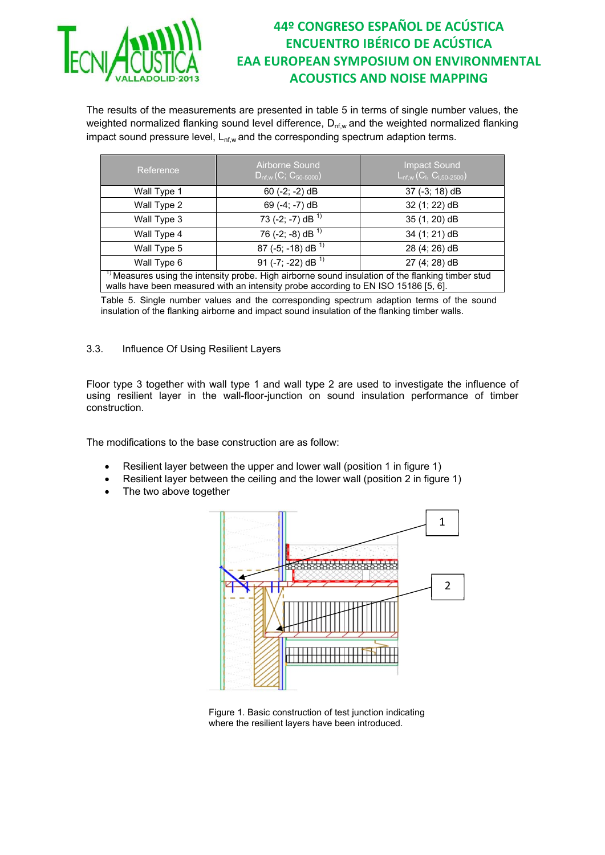

The results of the measurements are presented in table 5 in terms of single number values, the weighted normalized flanking sound level difference,  $D_{nf,w}$  and the weighted normalized flanking impact sound pressure level,  $L_{nf,w}$  and the corresponding spectrum adaption terms.

| Reference                                                                                                                                                                                | Airborne Sound<br>$D_{nf,w}(C; C_{50-5000})$ | <b>Impact Sound</b><br>$L_{nf,w}(C_1, C_{1,50-2500})$ |  |
|------------------------------------------------------------------------------------------------------------------------------------------------------------------------------------------|----------------------------------------------|-------------------------------------------------------|--|
| Wall Type 1                                                                                                                                                                              | $60$ (-2; -2) dB                             | $37$ (-3; 18) dB                                      |  |
| Wall Type 2                                                                                                                                                                              | 69 (-4; -7) dB                               | 32 (1; 22) dB                                         |  |
| Wall Type 3                                                                                                                                                                              | 73 (-2; -7) dB $^{1}$ )                      | 35 (1, 20) dB                                         |  |
| Wall Type 4                                                                                                                                                                              | 76 (-2; -8) dB $^{1}$                        | 34 (1; 21) dB                                         |  |
| Wall Type 5                                                                                                                                                                              | 87 (-5; -18) dB $^{1}$ )                     | 28 (4; 26) dB                                         |  |
| Wall Type 6                                                                                                                                                                              | 91 (-7; -22) dB <sup>1)</sup>                | 27 (4; 28) dB                                         |  |
| $1$ Measures using the intensity probe. High airborne sound insulation of the flanking timber stud<br>walls have been measured with an intensity probe according to EN ISO 15186 [5, 6]. |                                              |                                                       |  |

Table 5. Single number values and the corresponding spectrum adaption terms of the sound insulation of the flanking airborne and impact sound insulation of the flanking timber walls.

#### 3.3. Influence Of Using Resilient Layers

Floor type 3 together with wall type 1 and wall type 2 are used to investigate the influence of using resilient layer in the wall-floor-junction on sound insulation performance of timber construction.

The modifications to the base construction are as follow:

- Resilient layer between the upper and lower wall (position 1 in figure 1)
- Resilient layer between the ceiling and the lower wall (position 2 in figure 1)
- The two above together



Figure 1. Basic construction of test junction indicating where the resilient layers have been introduced.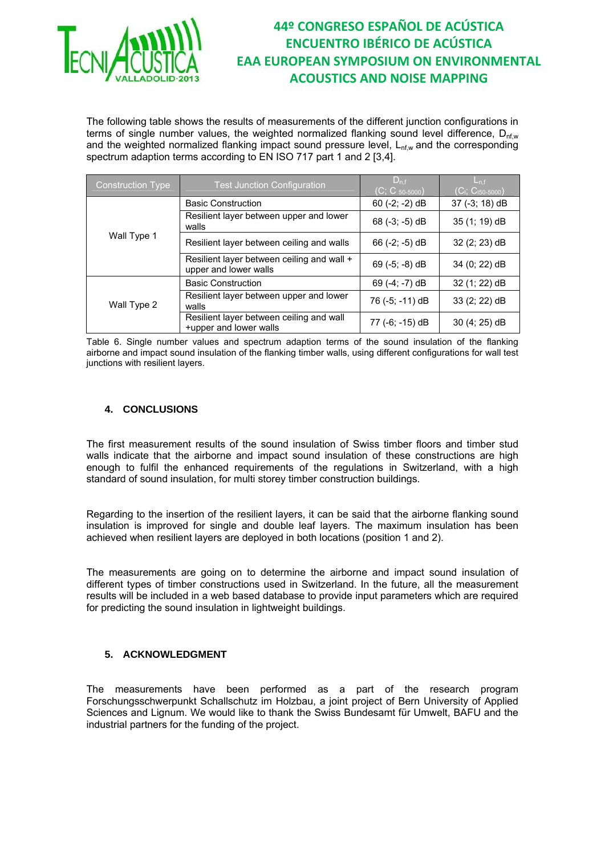

The following table shows the results of measurements of the different junction configurations in terms of single number values, the weighted normalized flanking sound level difference,  $D_{nfw}$ and the weighted normalized flanking impact sound pressure level,  $L_{nfw}$  and the corresponding spectrum adaption terms according to EN ISO 717 part 1 and 2 [3,4].

| <b>Construction Type</b> | <b>Test Junction Configuration</b>                                  | $D_{n.f}$<br>$(C; C_{50-5000})$ | $L_{n,f}$<br>$(C_1; C_{150-5000})$ |
|--------------------------|---------------------------------------------------------------------|---------------------------------|------------------------------------|
| Wall Type 1              | <b>Basic Construction</b>                                           | $60$ (-2; -2) dB                | 37 (-3; 18) dB                     |
|                          | Resilient layer between upper and lower<br>walls                    | 68 $(-3, -5)$ dB                | 35 (1; 19) dB                      |
|                          | Resilient layer between ceiling and walls                           | 66 $(-2, -5)$ dB                | $32(2; 23)$ dB                     |
|                          | Resilient layer between ceiling and wall +<br>upper and lower walls | 69 $(-5; -8)$ dB                | 34 (0; 22) dB                      |
| Wall Type 2              | <b>Basic Construction</b>                                           | 69 (-4; -7) dB                  | 32 (1; 22) dB                      |
|                          | Resilient layer between upper and lower<br>walls                    | 76 (-5; -11) dB                 | $33(2; 22)$ dB                     |
|                          | Resilient layer between ceiling and wall<br>+upper and lower walls  | 77 (-6; -15) dB                 | 30 (4; 25) dB                      |

Table 6. Single number values and spectrum adaption terms of the sound insulation of the flanking airborne and impact sound insulation of the flanking timber walls, using different configurations for wall test junctions with resilient layers.

### **4. CONCLUSIONS**

The first measurement results of the sound insulation of Swiss timber floors and timber stud walls indicate that the airborne and impact sound insulation of these constructions are high enough to fulfil the enhanced requirements of the regulations in Switzerland, with a high standard of sound insulation, for multi storey timber construction buildings.

Regarding to the insertion of the resilient layers, it can be said that the airborne flanking sound insulation is improved for single and double leaf layers. The maximum insulation has been achieved when resilient layers are deployed in both locations (position 1 and 2).

The measurements are going on to determine the airborne and impact sound insulation of different types of timber constructions used in Switzerland. In the future, all the measurement results will be included in a web based database to provide input parameters which are required for predicting the sound insulation in lightweight buildings.

### **5. ACKNOWLEDGMENT**

The measurements have been performed as a part of the research program Forschungsschwerpunkt Schallschutz im Holzbau, a joint project of Bern University of Applied Sciences and Lignum. We would like to thank the Swiss Bundesamt für Umwelt, BAFU and the industrial partners for the funding of the project.